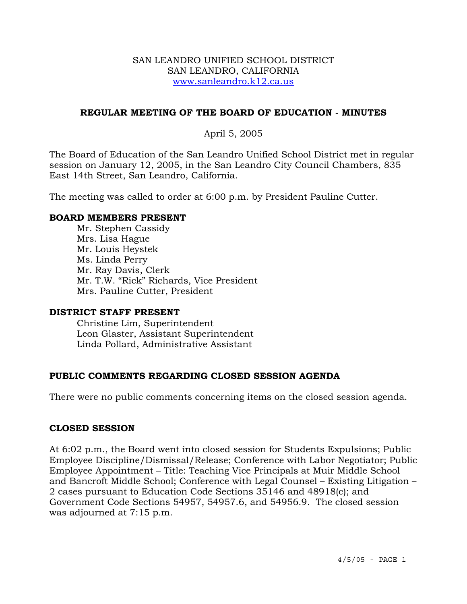#### SAN LEANDRO UNIFIED SCHOOL DISTRICT SAN LEANDRO, CALIFORNIA www.sanleandro.k12.ca.us

## **REGULAR MEETING OF THE BOARD OF EDUCATION - MINUTES**

## April 5, 2005

The Board of Education of the San Leandro Unified School District met in regular session on January 12, 2005, in the San Leandro City Council Chambers, 835 East 14th Street, San Leandro, California.

The meeting was called to order at 6:00 p.m. by President Pauline Cutter.

#### **BOARD MEMBERS PRESENT**

Mr. Stephen Cassidy Mrs. Lisa Hague Mr. Louis Heystek Ms. Linda Perry Mr. Ray Davis, Clerk Mr. T.W. "Rick" Richards, Vice President Mrs. Pauline Cutter, President

#### **DISTRICT STAFF PRESENT**

Christine Lim, Superintendent Leon Glaster, Assistant Superintendent Linda Pollard, Administrative Assistant

## **PUBLIC COMMENTS REGARDING CLOSED SESSION AGENDA**

There were no public comments concerning items on the closed session agenda.

#### **CLOSED SESSION**

At 6:02 p.m., the Board went into closed session for Students Expulsions; Public Employee Discipline/Dismissal/Release; Conference with Labor Negotiator; Public Employee Appointment – Title: Teaching Vice Principals at Muir Middle School and Bancroft Middle School; Conference with Legal Counsel – Existing Litigation – 2 cases pursuant to Education Code Sections 35146 and 48918(c); and Government Code Sections 54957, 54957.6, and 54956.9. The closed session was adjourned at 7:15 p.m.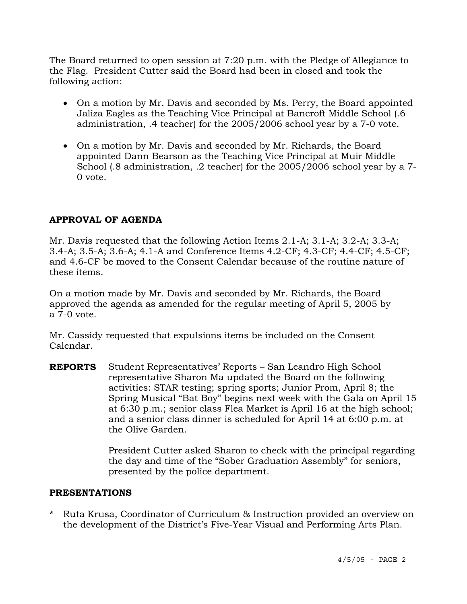The Board returned to open session at 7:20 p.m. with the Pledge of Allegiance to the Flag. President Cutter said the Board had been in closed and took the following action:

- On a motion by Mr. Davis and seconded by Ms. Perry, the Board appointed Jaliza Eagles as the Teaching Vice Principal at Bancroft Middle School (.6 administration, .4 teacher) for the 2005/2006 school year by a 7-0 vote.
- On a motion by Mr. Davis and seconded by Mr. Richards, the Board appointed Dann Bearson as the Teaching Vice Principal at Muir Middle School (.8 administration, .2 teacher) for the 2005/2006 school year by a 7- 0 vote.

# **APPROVAL OF AGENDA**

Mr. Davis requested that the following Action Items 2.1-A; 3.1-A; 3.2-A; 3.3-A; 3.4-A; 3.5-A; 3.6-A; 4.1-A and Conference Items 4.2-CF; 4.3-CF; 4.4-CF; 4.5-CF; and 4.6-CF be moved to the Consent Calendar because of the routine nature of these items.

On a motion made by Mr. Davis and seconded by Mr. Richards, the Board approved the agenda as amended for the regular meeting of April 5, 2005 by a 7-0 vote.

Mr. Cassidy requested that expulsions items be included on the Consent Calendar.

**REPORTS** Student Representatives' Reports – San Leandro High School representative Sharon Ma updated the Board on the following activities: STAR testing; spring sports; Junior Prom, April 8; the Spring Musical "Bat Boy" begins next week with the Gala on April 15 at 6:30 p.m.; senior class Flea Market is April 16 at the high school; and a senior class dinner is scheduled for April 14 at 6:00 p.m. at the Olive Garden.

> President Cutter asked Sharon to check with the principal regarding the day and time of the "Sober Graduation Assembly" for seniors, presented by the police department.

## **PRESENTATIONS**

\* Ruta Krusa, Coordinator of Curriculum & Instruction provided an overview on the development of the District's Five-Year Visual and Performing Arts Plan.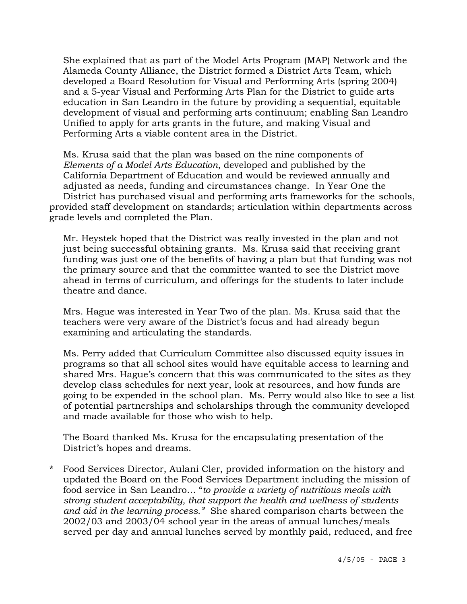She explained that as part of the Model Arts Program (MAP) Network and the Alameda County Alliance, the District formed a District Arts Team, which developed a Board Resolution for Visual and Performing Arts (spring 2004) and a 5-year Visual and Performing Arts Plan for the District to guide arts education in San Leandro in the future by providing a sequential, equitable development of visual and performing arts continuum; enabling San Leandro Unified to apply for arts grants in the future, and making Visual and Performing Arts a viable content area in the District.

 Ms. Krusa said that the plan was based on the nine components of *Elements of a Model Arts Education*, developed and published by the California Department of Education and would be reviewed annually and adjusted as needs, funding and circumstances change. In Year One the District has purchased visual and performing arts frameworks for the schools, provided staff development on standards; articulation within departments across grade levels and completed the Plan.

Mr. Heystek hoped that the District was really invested in the plan and not just being successful obtaining grants. Ms. Krusa said that receiving grant funding was just one of the benefits of having a plan but that funding was not the primary source and that the committee wanted to see the District move ahead in terms of curriculum, and offerings for the students to later include theatre and dance.

Mrs. Hague was interested in Year Two of the plan. Ms. Krusa said that the teachers were very aware of the District's focus and had already begun examining and articulating the standards.

Ms. Perry added that Curriculum Committee also discussed equity issues in programs so that all school sites would have equitable access to learning and shared Mrs. Hague's concern that this was communicated to the sites as they develop class schedules for next year, look at resources, and how funds are going to be expended in the school plan. Ms. Perry would also like to see a list of potential partnerships and scholarships through the community developed and made available for those who wish to help.

The Board thanked Ms. Krusa for the encapsulating presentation of the District's hopes and dreams.

\* Food Services Director, Aulani Cler, provided information on the history and updated the Board on the Food Services Department including the mission of food service in San Leandro… "*to provide a variety of nutritious meals with strong student acceptability, that support the health and wellness of students and aid in the learning process."* She shared comparison charts between the 2002/03 and 2003/04 school year in the areas of annual lunches/meals served per day and annual lunches served by monthly paid, reduced, and free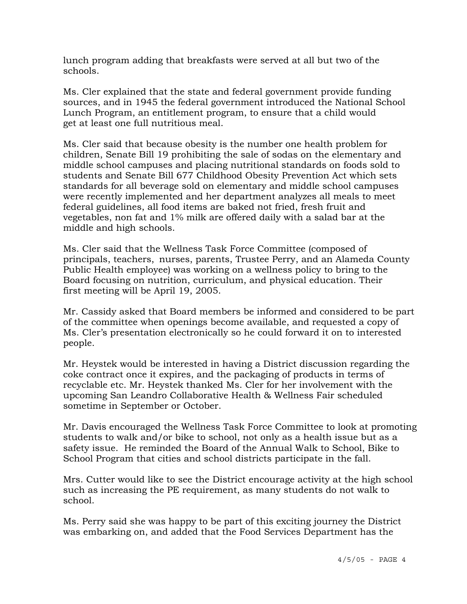lunch program adding that breakfasts were served at all but two of the schools.

 Ms. Cler explained that the state and federal government provide funding sources, and in 1945 the federal government introduced the National School Lunch Program, an entitlement program, to ensure that a child would get at least one full nutritious meal.

 Ms. Cler said that because obesity is the number one health problem for children, Senate Bill 19 prohibiting the sale of sodas on the elementary and middle school campuses and placing nutritional standards on foods sold to students and Senate Bill 677 Childhood Obesity Prevention Act which sets standards for all beverage sold on elementary and middle school campuses were recently implemented and her department analyzes all meals to meet federal guidelines, all food items are baked not fried, fresh fruit and vegetables, non fat and 1% milk are offered daily with a salad bar at the middle and high schools.

 Ms. Cler said that the Wellness Task Force Committee (composed of principals, teachers, nurses, parents, Trustee Perry, and an Alameda County Public Health employee) was working on a wellness policy to bring to the Board focusing on nutrition, curriculum, and physical education. Their first meeting will be April 19, 2005.

Mr. Cassidy asked that Board members be informed and considered to be part of the committee when openings become available, and requested a copy of Ms. Cler's presentation electronically so he could forward it on to interested people.

Mr. Heystek would be interested in having a District discussion regarding the coke contract once it expires, and the packaging of products in terms of recyclable etc. Mr. Heystek thanked Ms. Cler for her involvement with the upcoming San Leandro Collaborative Health & Wellness Fair scheduled sometime in September or October.

Mr. Davis encouraged the Wellness Task Force Committee to look at promoting students to walk and/or bike to school, not only as a health issue but as a safety issue. He reminded the Board of the Annual Walk to School, Bike to School Program that cities and school districts participate in the fall.

Mrs. Cutter would like to see the District encourage activity at the high school such as increasing the PE requirement, as many students do not walk to school.

Ms. Perry said she was happy to be part of this exciting journey the District was embarking on, and added that the Food Services Department has the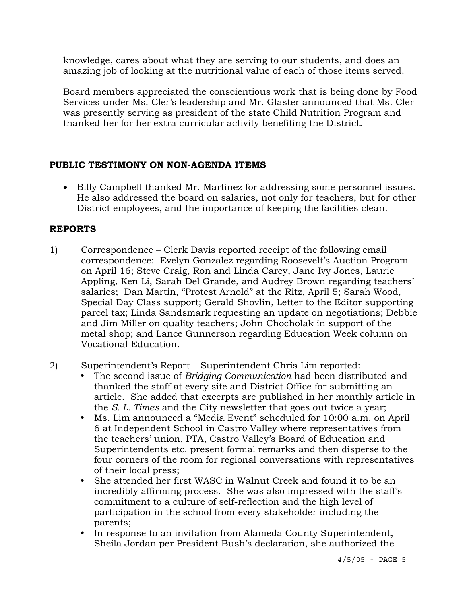knowledge, cares about what they are serving to our students, and does an amazing job of looking at the nutritional value of each of those items served.

Board members appreciated the conscientious work that is being done by Food Services under Ms. Cler's leadership and Mr. Glaster announced that Ms. Cler was presently serving as president of the state Child Nutrition Program and thanked her for her extra curricular activity benefiting the District.

# **PUBLIC TESTIMONY ON NON-AGENDA ITEMS**

• Billy Campbell thanked Mr. Martinez for addressing some personnel issues. He also addressed the board on salaries, not only for teachers, but for other District employees, and the importance of keeping the facilities clean.

# **REPORTS**

- 1) Correspondence Clerk Davis reported receipt of the following email correspondence: Evelyn Gonzalez regarding Roosevelt's Auction Program on April 16; Steve Craig, Ron and Linda Carey, Jane Ivy Jones, Laurie Appling, Ken Li, Sarah Del Grande, and Audrey Brown regarding teachers' salaries; Dan Martin, "Protest Arnold" at the Ritz, April 5; Sarah Wood, Special Day Class support; Gerald Shovlin, Letter to the Editor supporting parcel tax; Linda Sandsmark requesting an update on negotiations; Debbie and Jim Miller on quality teachers; John Chocholak in support of the metal shop; and Lance Gunnerson regarding Education Week column on Vocational Education.
- 2) Superintendent's Report Superintendent Chris Lim reported:
	- y The second issue of *Bridging Communication* had been distributed and thanked the staff at every site and District Office for submitting an article. She added that excerpts are published in her monthly article in the *S. L. Times* and the City newsletter that goes out twice a year;
	- y Ms. Lim announced a "Media Event" scheduled for 10:00 a.m. on April 6 at Independent School in Castro Valley where representatives from the teachers' union, PTA, Castro Valley's Board of Education and Superintendents etc. present formal remarks and then disperse to the four corners of the room for regional conversations with representatives of their local press;
	- She attended her first WASC in Walnut Creek and found it to be an incredibly affirming process. She was also impressed with the staff's commitment to a culture of self-reflection and the high level of participation in the school from every stakeholder including the parents;
	- In response to an invitation from Alameda County Superintendent, Sheila Jordan per President Bush's declaration, she authorized the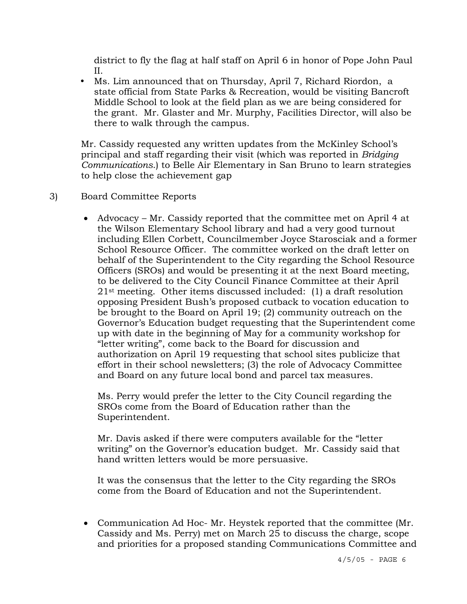district to fly the flag at half staff on April 6 in honor of Pope John Paul II.

• Ms. Lim announced that on Thursday, April 7, Richard Riordon, a state official from State Parks & Recreation, would be visiting Bancroft Middle School to look at the field plan as we are being considered for the grant. Mr. Glaster and Mr. Murphy, Facilities Director, will also be there to walk through the campus.

Mr. Cassidy requested any written updates from the McKinley School's principal and staff regarding their visit (which was reported in *Bridging Communications*.) to Belle Air Elementary in San Bruno to learn strategies to help close the achievement gap

- 3) Board Committee Reports
	- Advocacy Mr. Cassidy reported that the committee met on April 4 at the Wilson Elementary School library and had a very good turnout including Ellen Corbett, Councilmember Joyce Starosciak and a former School Resource Officer. The committee worked on the draft letter on behalf of the Superintendent to the City regarding the School Resource Officers (SROs) and would be presenting it at the next Board meeting, to be delivered to the City Council Finance Committee at their April 21st meeting. Other items discussed included: (1) a draft resolution opposing President Bush's proposed cutback to vocation education to be brought to the Board on April 19; (2) community outreach on the Governor's Education budget requesting that the Superintendent come up with date in the beginning of May for a community workshop for "letter writing", come back to the Board for discussion and authorization on April 19 requesting that school sites publicize that effort in their school newsletters; (3) the role of Advocacy Committee and Board on any future local bond and parcel tax measures.

 Ms. Perry would prefer the letter to the City Council regarding the SROs come from the Board of Education rather than the Superintendent.

 Mr. Davis asked if there were computers available for the "letter writing" on the Governor's education budget. Mr. Cassidy said that hand written letters would be more persuasive.

 It was the consensus that the letter to the City regarding the SROs come from the Board of Education and not the Superintendent.

• Communication Ad Hoc- Mr. Heystek reported that the committee (Mr. Cassidy and Ms. Perry) met on March 25 to discuss the charge, scope and priorities for a proposed standing Communications Committee and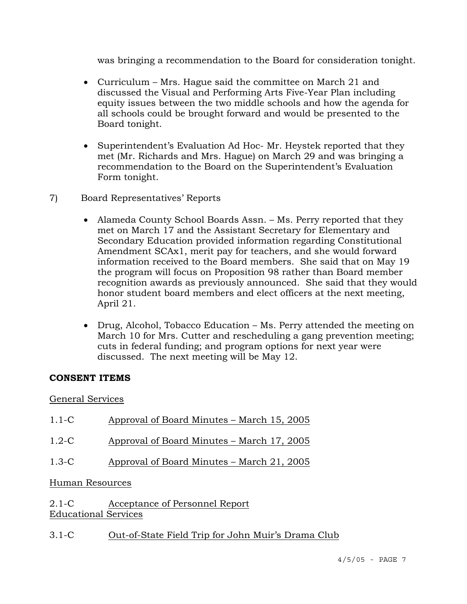was bringing a recommendation to the Board for consideration tonight.

- Curriculum Mrs. Hague said the committee on March 21 and discussed the Visual and Performing Arts Five-Year Plan including equity issues between the two middle schools and how the agenda for all schools could be brought forward and would be presented to the Board tonight.
- Superintendent's Evaluation Ad Hoc- Mr. Heystek reported that they met (Mr. Richards and Mrs. Hague) on March 29 and was bringing a recommendation to the Board on the Superintendent's Evaluation Form tonight.
- 7) Board Representatives' Reports
	- Alameda County School Boards Assn. Ms. Perry reported that they met on March 17 and the Assistant Secretary for Elementary and Secondary Education provided information regarding Constitutional Amendment SCAx1, merit pay for teachers, and she would forward information received to the Board members. She said that on May 19 the program will focus on Proposition 98 rather than Board member recognition awards as previously announced. She said that they would honor student board members and elect officers at the next meeting, April 21.
	- Drug, Alcohol, Tobacco Education Ms. Perry attended the meeting on March 10 for Mrs. Cutter and rescheduling a gang prevention meeting; cuts in federal funding; and program options for next year were discussed. The next meeting will be May 12.

## **CONSENT ITEMS**

## General Services

| $1.1 - C$       | Approval of Board Minutes – March 15, 2005 |
|-----------------|--------------------------------------------|
| $1.2-C$         | Approval of Board Minutes – March 17, 2005 |
| $1.3-C$         | Approval of Board Minutes – March 21, 2005 |
| Human Resources |                                            |
| $2.1 - C$       | Acceptance of Personnel Report             |

Educational Services

3.1-C Out-of-State Field Trip for John Muir's Drama Club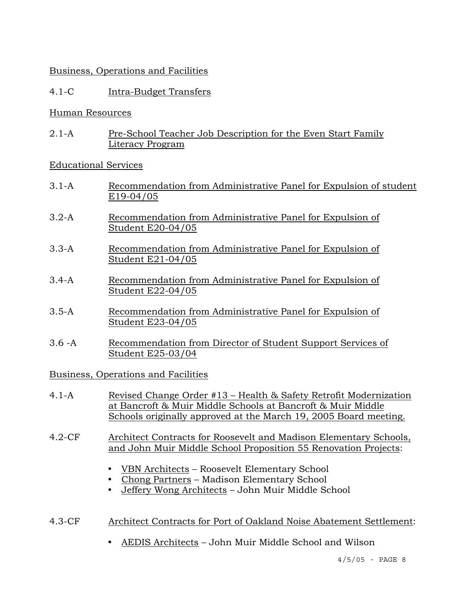## Business, Operations and Facilities

# 4.1-C Intra-Budget Transfers

### Human Resources

2.1-A Pre-School Teacher Job Description for the Even Start Family Literacy Program

## Educational Services

- 3.1-A Recommendation from Administrative Panel for Expulsion of student E19-04/05
- 3.2-A Recommendation from Administrative Panel for Expulsion of Student E20-04/05
- 3.3-A Recommendation from Administrative Panel for Expulsion of Student E21-04/05
- 3.4-A Recommendation from Administrative Panel for Expulsion of Student E22-04/05
- 3.5-A Recommendation from Administrative Panel for Expulsion of Student E23-04/05
- 3.6 -A Recommendation from Director of Student Support Services of Student E25-03/04

## Business, Operations and Facilities

- 4.1-A Revised Change Order #13 Health & Safety Retrofit Modernization at Bancroft & Muir Middle Schools at Bancroft & Muir Middle Schools originally approved at the March 19, 2005 Board meeting.
- 4.2-CF Architect Contracts for Roosevelt and Madison Elementary Schools, and John Muir Middle School Proposition 55 Renovation Projects:
	- y VBN Architects Roosevelt Elementary School
	- Chong Partners Madison Elementary School
	- Jeffery Wong Architects John Muir Middle School
- 4.3-CF Architect Contracts for Port of Oakland Noise Abatement Settlement:
	- AEDIS Architects John Muir Middle School and Wilson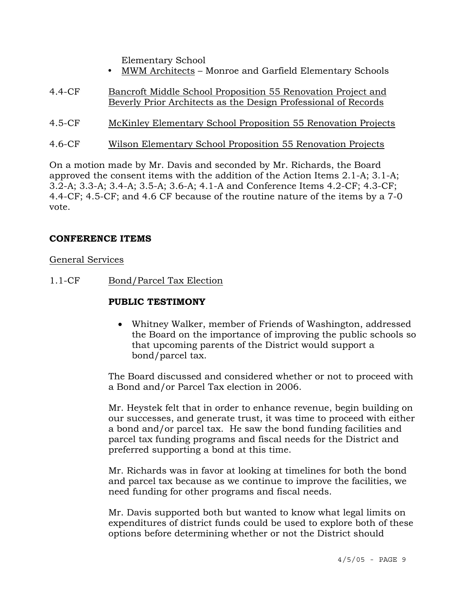Elementary School

- MWM Architects Monroe and Garfield Elementary Schools
- 4.4-CF Bancroft Middle School Proposition 55 Renovation Project and Beverly Prior Architects as the Design Professional of Records
- 4.5-CF McKinley Elementary School Proposition 55 Renovation Projects
- 4.6-CF Wilson Elementary School Proposition 55 Renovation Projects

On a motion made by Mr. Davis and seconded by Mr. Richards, the Board approved the consent items with the addition of the Action Items 2.1-A; 3.1-A; 3.2-A; 3.3-A; 3.4-A; 3.5-A; 3.6-A; 4.1-A and Conference Items 4.2-CF; 4.3-CF; 4.4-CF; 4.5-CF; and 4.6 CF because of the routine nature of the items by a 7-0 vote.

## **CONFERENCE ITEMS**

General Services

1.1-CF Bond/Parcel Tax Election

### **PUBLIC TESTIMONY**

• Whitney Walker, member of Friends of Washington, addressed the Board on the importance of improving the public schools so that upcoming parents of the District would support a bond/parcel tax.

The Board discussed and considered whether or not to proceed with a Bond and/or Parcel Tax election in 2006.

Mr. Heystek felt that in order to enhance revenue, begin building on our successes, and generate trust, it was time to proceed with either a bond and/or parcel tax. He saw the bond funding facilities and parcel tax funding programs and fiscal needs for the District and preferred supporting a bond at this time.

Mr. Richards was in favor at looking at timelines for both the bond and parcel tax because as we continue to improve the facilities, we need funding for other programs and fiscal needs.

Mr. Davis supported both but wanted to know what legal limits on expenditures of district funds could be used to explore both of these options before determining whether or not the District should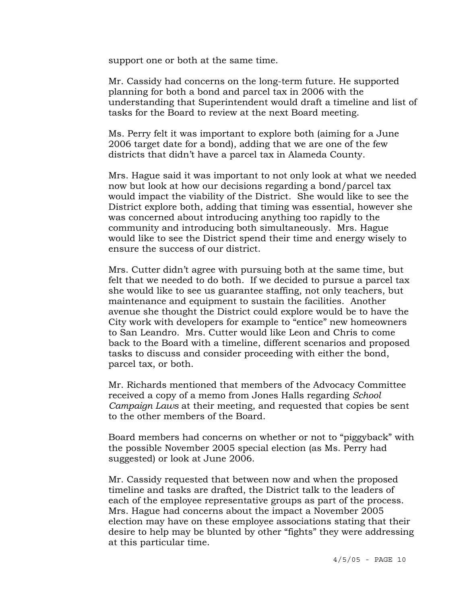support one or both at the same time.

Mr. Cassidy had concerns on the long-term future. He supported planning for both a bond and parcel tax in 2006 with the understanding that Superintendent would draft a timeline and list of tasks for the Board to review at the next Board meeting.

Ms. Perry felt it was important to explore both (aiming for a June 2006 target date for a bond), adding that we are one of the few districts that didn't have a parcel tax in Alameda County.

Mrs. Hague said it was important to not only look at what we needed now but look at how our decisions regarding a bond/parcel tax would impact the viability of the District. She would like to see the District explore both, adding that timing was essential, however she was concerned about introducing anything too rapidly to the community and introducing both simultaneously. Mrs. Hague would like to see the District spend their time and energy wisely to ensure the success of our district.

Mrs. Cutter didn't agree with pursuing both at the same time, but felt that we needed to do both. If we decided to pursue a parcel tax she would like to see us guarantee staffing, not only teachers, but maintenance and equipment to sustain the facilities. Another avenue she thought the District could explore would be to have the City work with developers for example to "entice" new homeowners to San Leandro. Mrs. Cutter would like Leon and Chris to come back to the Board with a timeline, different scenarios and proposed tasks to discuss and consider proceeding with either the bond, parcel tax, or both.

Mr. Richards mentioned that members of the Advocacy Committee received a copy of a memo from Jones Halls regarding *School Campaign Laws* at their meeting, and requested that copies be sent to the other members of the Board.

Board members had concerns on whether or not to "piggyback" with the possible November 2005 special election (as Ms. Perry had suggested) or look at June 2006.

Mr. Cassidy requested that between now and when the proposed timeline and tasks are drafted, the District talk to the leaders of each of the employee representative groups as part of the process. Mrs. Hague had concerns about the impact a November 2005 election may have on these employee associations stating that their desire to help may be blunted by other "fights" they were addressing at this particular time.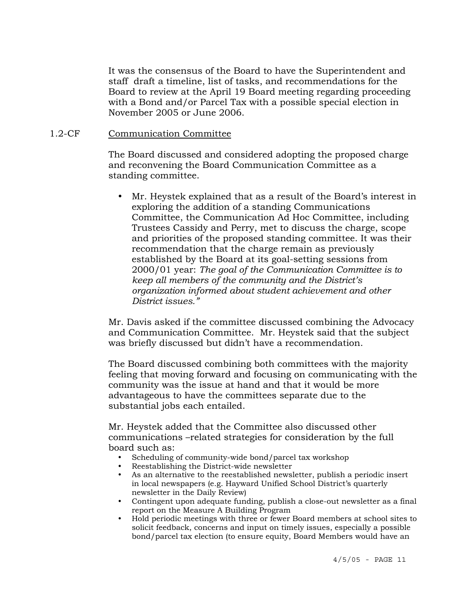It was the consensus of the Board to have the Superintendent and staff draft a timeline, list of tasks, and recommendations for the Board to review at the April 19 Board meeting regarding proceeding with a Bond and/or Parcel Tax with a possible special election in November 2005 or June 2006.

#### 1.2-CF Communication Committee

The Board discussed and considered adopting the proposed charge and reconvening the Board Communication Committee as a standing committee.

• Mr. Heystek explained that as a result of the Board's interest in exploring the addition of a standing Communications Committee, the Communication Ad Hoc Committee, including Trustees Cassidy and Perry, met to discuss the charge, scope and priorities of the proposed standing committee. It was their recommendation that the charge remain as previously established by the Board at its goal-setting sessions from 2000/01 year: *The goal of the Communication Committee is to keep all members of the community and the District's organization informed about student achievement and other District issues."*

Mr. Davis asked if the committee discussed combining the Advocacy and Communication Committee. Mr. Heystek said that the subject was briefly discussed but didn't have a recommendation.

The Board discussed combining both committees with the majority feeling that moving forward and focusing on communicating with the community was the issue at hand and that it would be more advantageous to have the committees separate due to the substantial jobs each entailed.

Mr. Heystek added that the Committee also discussed other communications –related strategies for consideration by the full board such as:

- Scheduling of community-wide bond/parcel tax workshop
- Reestablishing the District-wide newsletter
- y As an alternative to the reestablished newsletter, publish a periodic insert in local newspapers (e.g. Hayward Unified School District's quarterly newsletter in the Daily Review)
- Contingent upon adequate funding, publish a close-out newsletter as a final report on the Measure A Building Program
- y Hold periodic meetings with three or fewer Board members at school sites to solicit feedback, concerns and input on timely issues, especially a possible bond/parcel tax election (to ensure equity, Board Members would have an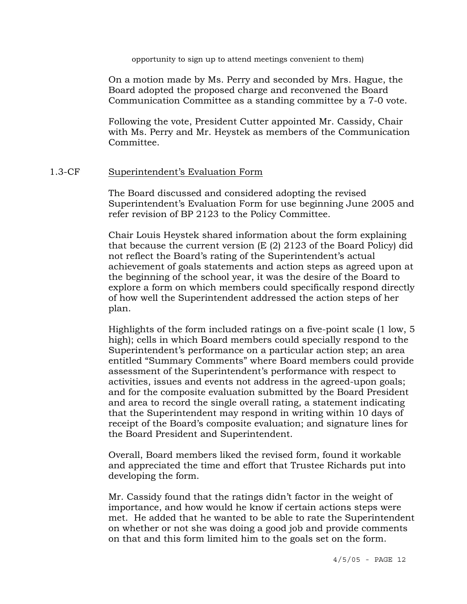opportunity to sign up to attend meetings convenient to them)

On a motion made by Ms. Perry and seconded by Mrs. Hague, the Board adopted the proposed charge and reconvened the Board Communication Committee as a standing committee by a 7-0 vote.

Following the vote, President Cutter appointed Mr. Cassidy, Chair with Ms. Perry and Mr. Heystek as members of the Communication Committee.

#### 1.3-CF Superintendent's Evaluation Form

The Board discussed and considered adopting the revised Superintendent's Evaluation Form for use beginning June 2005 and refer revision of BP 2123 to the Policy Committee.

Chair Louis Heystek shared information about the form explaining that because the current version (E (2) 2123 of the Board Policy) did not reflect the Board's rating of the Superintendent's actual achievement of goals statements and action steps as agreed upon at the beginning of the school year, it was the desire of the Board to explore a form on which members could specifically respond directly of how well the Superintendent addressed the action steps of her plan.

Highlights of the form included ratings on a five-point scale (1 low, 5 high); cells in which Board members could specially respond to the Superintendent's performance on a particular action step; an area entitled "Summary Comments" where Board members could provide assessment of the Superintendent's performance with respect to activities, issues and events not address in the agreed-upon goals; and for the composite evaluation submitted by the Board President and area to record the single overall rating, a statement indicating that the Superintendent may respond in writing within 10 days of receipt of the Board's composite evaluation; and signature lines for the Board President and Superintendent.

Overall, Board members liked the revised form, found it workable and appreciated the time and effort that Trustee Richards put into developing the form.

Mr. Cassidy found that the ratings didn't factor in the weight of importance, and how would he know if certain actions steps were met. He added that he wanted to be able to rate the Superintendent on whether or not she was doing a good job and provide comments on that and this form limited him to the goals set on the form.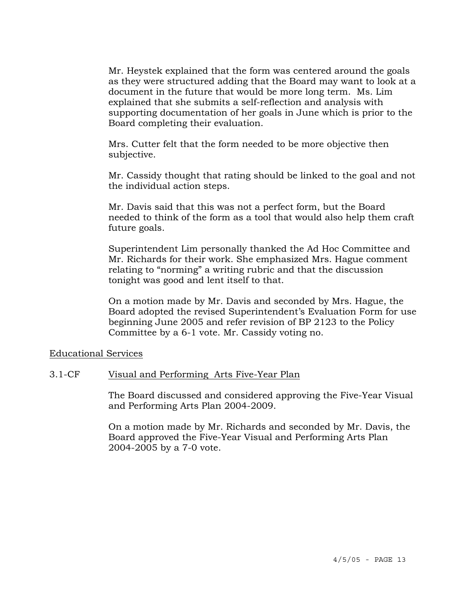Mr. Heystek explained that the form was centered around the goals as they were structured adding that the Board may want to look at a document in the future that would be more long term. Ms. Lim explained that she submits a self-reflection and analysis with supporting documentation of her goals in June which is prior to the Board completing their evaluation.

Mrs. Cutter felt that the form needed to be more objective then subjective.

Mr. Cassidy thought that rating should be linked to the goal and not the individual action steps.

Mr. Davis said that this was not a perfect form, but the Board needed to think of the form as a tool that would also help them craft future goals.

Superintendent Lim personally thanked the Ad Hoc Committee and Mr. Richards for their work. She emphasized Mrs. Hague comment relating to "norming" a writing rubric and that the discussion tonight was good and lent itself to that.

On a motion made by Mr. Davis and seconded by Mrs. Hague, the Board adopted the revised Superintendent's Evaluation Form for use beginning June 2005 and refer revision of BP 2123 to the Policy Committee by a 6-1 vote. Mr. Cassidy voting no.

Educational Services

#### 3.1-CF Visual and Performing Arts Five-Year Plan

The Board discussed and considered approving the Five-Year Visual and Performing Arts Plan 2004-2009.

On a motion made by Mr. Richards and seconded by Mr. Davis, the Board approved the Five-Year Visual and Performing Arts Plan 2004-2005 by a 7-0 vote.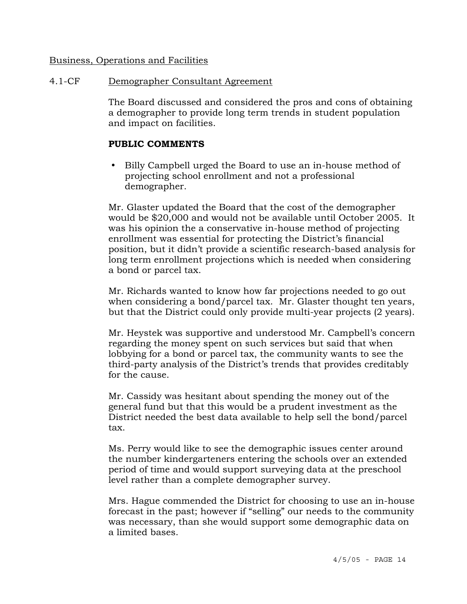#### Business, Operations and Facilities

# 4.1-CF Demographer Consultant Agreement

The Board discussed and considered the pros and cons of obtaining a demographer to provide long term trends in student population and impact on facilities.

# **PUBLIC COMMENTS**

Billy Campbell urged the Board to use an in-house method of projecting school enrollment and not a professional demographer.

Mr. Glaster updated the Board that the cost of the demographer would be \$20,000 and would not be available until October 2005. It was his opinion the a conservative in-house method of projecting enrollment was essential for protecting the District's financial position, but it didn't provide a scientific research-based analysis for long term enrollment projections which is needed when considering a bond or parcel tax.

Mr. Richards wanted to know how far projections needed to go out when considering a bond/parcel tax. Mr. Glaster thought ten years, but that the District could only provide multi-year projects (2 years).

Mr. Heystek was supportive and understood Mr. Campbell's concern regarding the money spent on such services but said that when lobbying for a bond or parcel tax, the community wants to see the third-party analysis of the District's trends that provides creditably for the cause.

Mr. Cassidy was hesitant about spending the money out of the general fund but that this would be a prudent investment as the District needed the best data available to help sell the bond/parcel tax.

Ms. Perry would like to see the demographic issues center around the number kindergarteners entering the schools over an extended period of time and would support surveying data at the preschool level rather than a complete demographer survey.

Mrs. Hague commended the District for choosing to use an in-house forecast in the past; however if "selling" our needs to the community was necessary, than she would support some demographic data on a limited bases.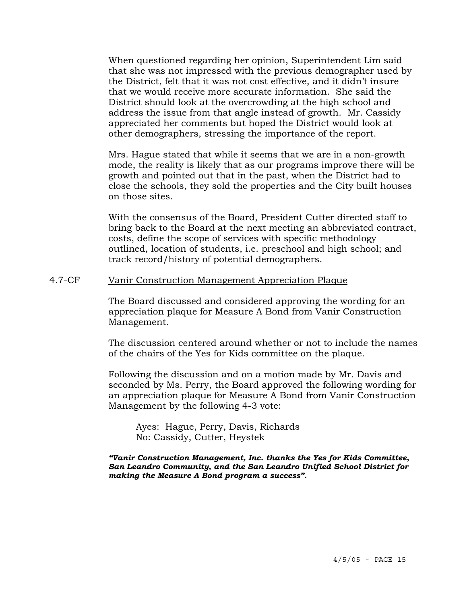When questioned regarding her opinion, Superintendent Lim said that she was not impressed with the previous demographer used by the District, felt that it was not cost effective, and it didn't insure that we would receive more accurate information. She said the District should look at the overcrowding at the high school and address the issue from that angle instead of growth. Mr. Cassidy appreciated her comments but hoped the District would look at other demographers, stressing the importance of the report.

Mrs. Hague stated that while it seems that we are in a non-growth mode, the reality is likely that as our programs improve there will be growth and pointed out that in the past, when the District had to close the schools, they sold the properties and the City built houses on those sites.

With the consensus of the Board, President Cutter directed staff to bring back to the Board at the next meeting an abbreviated contract, costs, define the scope of services with specific methodology outlined, location of students, i.e. preschool and high school; and track record/history of potential demographers.

#### 4.7-CF Vanir Construction Management Appreciation Plaque

The Board discussed and considered approving the wording for an appreciation plaque for Measure A Bond from Vanir Construction Management.

The discussion centered around whether or not to include the names of the chairs of the Yes for Kids committee on the plaque.

Following the discussion and on a motion made by Mr. Davis and seconded by Ms. Perry, the Board approved the following wording for an appreciation plaque for Measure A Bond from Vanir Construction Management by the following 4-3 vote:

 Ayes: Hague, Perry, Davis, Richards No: Cassidy, Cutter, Heystek

*"Vanir Construction Management, Inc. thanks the Yes for Kids Committee, San Leandro Community, and the San Leandro Unified School District for making the Measure A Bond program a success".*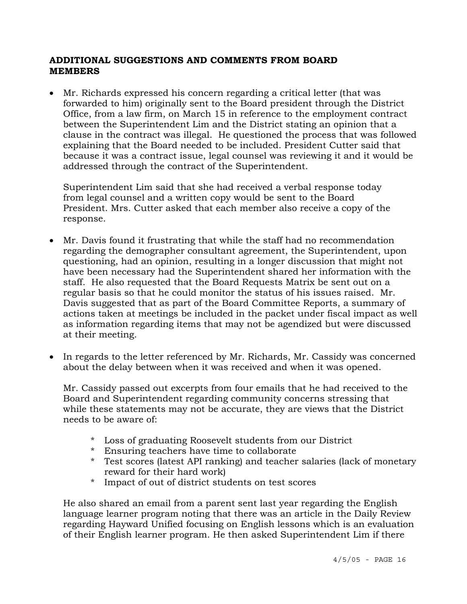## **ADDITIONAL SUGGESTIONS AND COMMENTS FROM BOARD MEMBERS**

• Mr. Richards expressed his concern regarding a critical letter (that was forwarded to him) originally sent to the Board president through the District Office, from a law firm, on March 15 in reference to the employment contract between the Superintendent Lim and the District stating an opinion that a clause in the contract was illegal. He questioned the process that was followed explaining that the Board needed to be included. President Cutter said that because it was a contract issue, legal counsel was reviewing it and it would be addressed through the contract of the Superintendent.

 Superintendent Lim said that she had received a verbal response today from legal counsel and a written copy would be sent to the Board President. Mrs. Cutter asked that each member also receive a copy of the response.

- Mr. Davis found it frustrating that while the staff had no recommendation regarding the demographer consultant agreement, the Superintendent, upon questioning, had an opinion, resulting in a longer discussion that might not have been necessary had the Superintendent shared her information with the staff. He also requested that the Board Requests Matrix be sent out on a regular basis so that he could monitor the status of his issues raised. Mr. Davis suggested that as part of the Board Committee Reports, a summary of actions taken at meetings be included in the packet under fiscal impact as well as information regarding items that may not be agendized but were discussed at their meeting.
- In regards to the letter referenced by Mr. Richards, Mr. Cassidy was concerned about the delay between when it was received and when it was opened.

 Mr. Cassidy passed out excerpts from four emails that he had received to the Board and Superintendent regarding community concerns stressing that while these statements may not be accurate, they are views that the District needs to be aware of:

- \* Loss of graduating Roosevelt students from our District
- \* Ensuring teachers have time to collaborate
- \* Test scores (latest API ranking) and teacher salaries (lack of monetary reward for their hard work)
- \* Impact of out of district students on test scores

He also shared an email from a parent sent last year regarding the English language learner program noting that there was an article in the Daily Review regarding Hayward Unified focusing on English lessons which is an evaluation of their English learner program. He then asked Superintendent Lim if there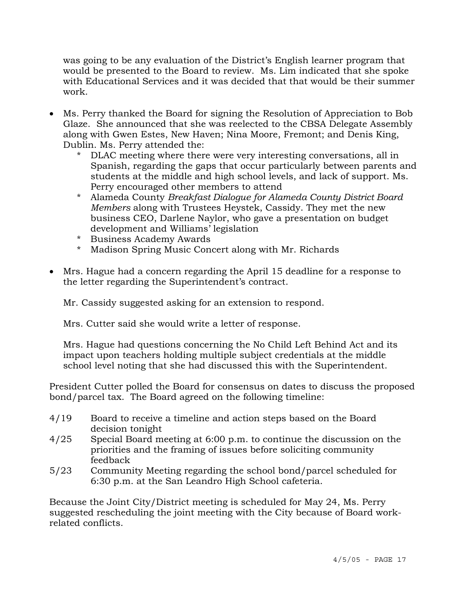was going to be any evaluation of the District's English learner program that would be presented to the Board to review. Ms. Lim indicated that she spoke with Educational Services and it was decided that that would be their summer work.

- Ms. Perry thanked the Board for signing the Resolution of Appreciation to Bob Glaze. She announced that she was reelected to the CBSA Delegate Assembly along with Gwen Estes, New Haven; Nina Moore, Fremont; and Denis King, Dublin. Ms. Perry attended the:
	- \* DLAC meeting where there were very interesting conversations, all in Spanish, regarding the gaps that occur particularly between parents and students at the middle and high school levels, and lack of support. Ms. Perry encouraged other members to attend
	- \* Alameda County *Breakfast Dialogue for Alameda County District Board Members* along with Trustees Heystek, Cassidy. They met the new business CEO, Darlene Naylor, who gave a presentation on budget development and Williams' legislation
	- \* Business Academy Awards
	- \* Madison Spring Music Concert along with Mr. Richards
- Mrs. Hague had a concern regarding the April 15 deadline for a response to the letter regarding the Superintendent's contract.

Mr. Cassidy suggested asking for an extension to respond.

Mrs. Cutter said she would write a letter of response.

 Mrs. Hague had questions concerning the No Child Left Behind Act and its impact upon teachers holding multiple subject credentials at the middle school level noting that she had discussed this with the Superintendent.

President Cutter polled the Board for consensus on dates to discuss the proposed bond/parcel tax. The Board agreed on the following timeline:

- 4/19 Board to receive a timeline and action steps based on the Board decision tonight
- 4/25 Special Board meeting at 6:00 p.m. to continue the discussion on the priorities and the framing of issues before soliciting community feedback
- 5/23 Community Meeting regarding the school bond/parcel scheduled for 6:30 p.m. at the San Leandro High School cafeteria.

Because the Joint City/District meeting is scheduled for May 24, Ms. Perry suggested rescheduling the joint meeting with the City because of Board workrelated conflicts.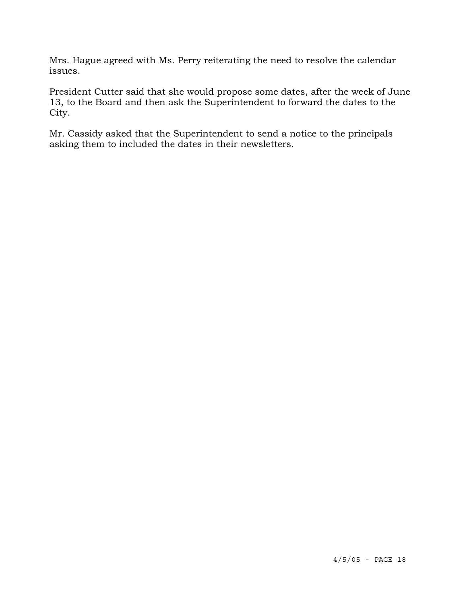Mrs. Hague agreed with Ms. Perry reiterating the need to resolve the calendar issues.

President Cutter said that she would propose some dates, after the week of June 13, to the Board and then ask the Superintendent to forward the dates to the City.

Mr. Cassidy asked that the Superintendent to send a notice to the principals asking them to included the dates in their newsletters.